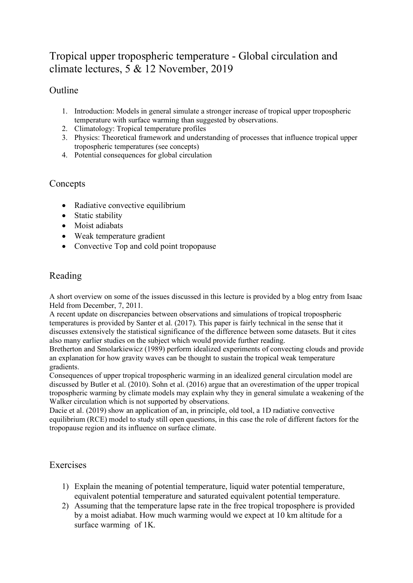# Tropical upper tropospheric temperature - Global circulation and climate lectures, 5 & 12 November, 2019

## Outline

- 1. Introduction: Models in general simulate a stronger increase of tropical upper tropospheric temperature with surface warming than suggested by observations.
- 2. Climatology: Tropical temperature profiles
- 3. Physics: Theoretical framework and understanding of processes that influence tropical upper tropospheric temperatures (see concepts)
- 4. Potential consequences for global circulation

#### Concepts

- Radiative convective equilibrium
- Static stability
- Moist adiabats
- Weak temperature gradient
- Convective Top and cold point tropopause

### Reading

A short overview on some of the issues discussed in this lecture is provided by a blog entry from Isaac Held from December, 7, 2011.

A recent update on discrepancies between observations and simulations of tropical tropospheric temperatures is provided by Santer et al. (2017). This paper is fairly technical in the sense that it discusses extensively the statistical significance of the difference between some datasets. But it cites also many earlier studies on the subject which would provide further reading.

Bretherton and Smolarkiewicz (1989) perform idealized experiments of convecting clouds and provide an explanation for how gravity waves can be thought to sustain the tropical weak temperature gradients.

Consequences of upper tropical tropospheric warming in an idealized general circulation model are discussed by Butler et al. (2010). Sohn et al. (2016) argue that an overestimation of the upper tropical tropospheric warming by climate models may explain why they in general simulate a weakening of the Walker circulation which is not supported by observations.

Dacie et al. (2019) show an application of an, in principle, old tool, a 1D radiative convective equilibrium (RCE) model to study still open questions, in this case the role of different factors for the tropopause region and its influence on surface climate.

#### **Exercises**

- 1) Explain the meaning of potential temperature, liquid water potential temperature, equivalent potential temperature and saturated equivalent potential temperature.
- 2) Assuming that the temperature lapse rate in the free tropical troposphere is provided by a moist adiabat. How much warming would we expect at 10 km altitude for a surface warming of 1K.